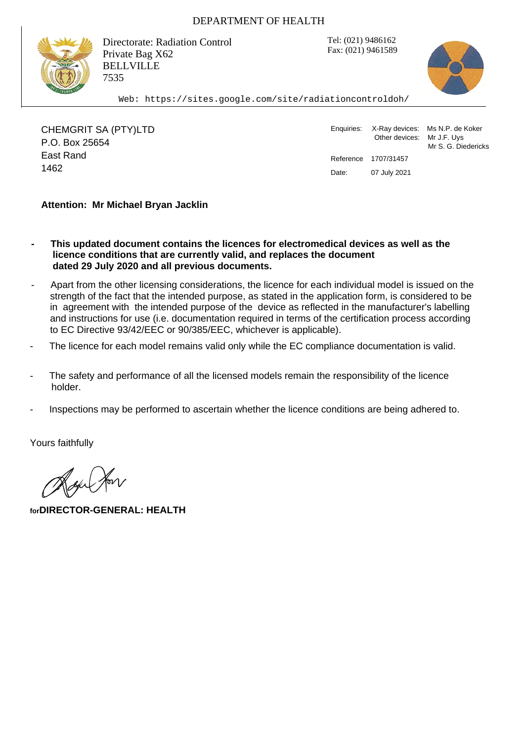## DEPARTMENT OF HEALTH

Tel: (021) 9486162 Fax: (021) 9461589



Directorate: Radiation Control Private Bag X62 BELLVILLE 7535

Web: https://sites.google.com/site/radiationcontroldoh/

CHEMGRIT SA (PTY)LTD P.O. Box 25654 East Rand Pate: 07 July 2021

Enquiries: X-Ray devices: Ms N.P. de Koker Other devices: Mr J.F. Uys Mr S. G. Diedericks Reference 1707/31457

## **Attention: Mr Michael Bryan Jacklin**

- **This updated document contains the licences for electromedical devices as well as the licence conditions that are currently valid, and replaces the document dated 29 July 2020 and all previous documents.**
- Apart from the other licensing considerations, the licence for each individual model is issued on the strength of the fact that the intended purpose, as stated in the application form, is considered to be in agreement with the intended purpose of the device as reflected in the manufacturer's labelling and instructions for use (i.e. documentation required in terms of the certification process according to EC Directive 93/42/EEC or 90/385/EEC, whichever is applicable).
- The licence for each model remains valid only while the EC compliance documentation is valid.
- The safety and performance of all the licensed models remain the responsibility of the licence holder.
- Inspections may be performed to ascertain whether the licence conditions are being adhered to.

Yours faithfully

en Jor

**forDIRECTOR-GENERAL: HEALTH**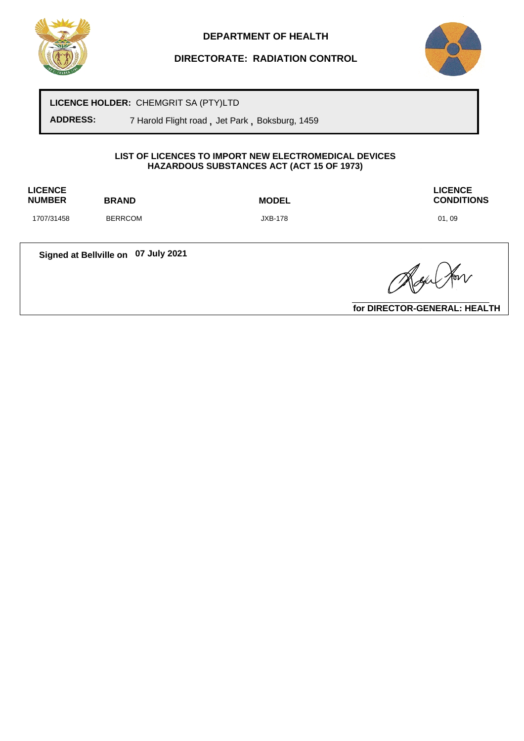

# **DIRECTORATE: RADIATION CONTROL**



**LICENCE HOLDER:** CHEMGRIT SA (PTY)LTD

**ADDRESS:** 7 Harold Flight road **,** Jet Park **,** Boksburg, 1459

#### **LIST OF LICENCES TO IMPORT NEW ELECTROMEDICAL DEVICES HAZARDOUS SUBSTANCES ACT (ACT 15 OF 1973)**

**LICENCE**

**NUMBER BRAND MODEL**

**LICENCE CONDITIONS**

1707/31458 BERRCOM JXB-178 01, 09

**Signed at Bellville on 07 July 2021**

Roge Hor

**for DIRECTOR-GENERAL: HEALTH**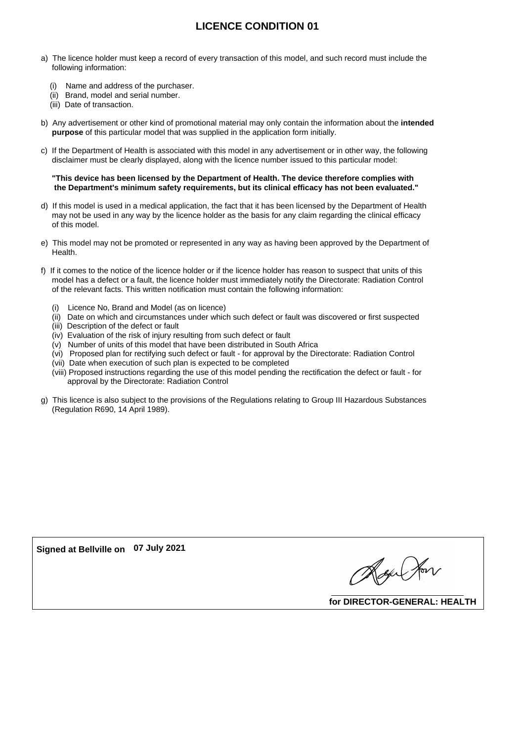# **LICENCE CONDITION 01**

- a) The licence holder must keep a record of every transaction of this model, and such record must include the following information:
	- (i) Name and address of the purchaser.
	- (ii) Brand, model and serial number.
	- (iii) Date of transaction.
- b) Any advertisement or other kind of promotional material may only contain the information about the **intended purpose** of this particular model that was supplied in the application form initially.
- c) If the Department of Health is associated with this model in any advertisement or in other way, the following disclaimer must be clearly displayed, along with the licence number issued to this particular model:

#### **"This device has been licensed by the Department of Health. The device therefore complies with the Department's minimum safety requirements, but its clinical efficacy has not been evaluated."**

- d) If this model is used in a medical application, the fact that it has been licensed by the Department of Health may not be used in any way by the licence holder as the basis for any claim regarding the clinical efficacy of this model.
- e) This model may not be promoted or represented in any way as having been approved by the Department of Health.
- f) If it comes to the notice of the licence holder or if the licence holder has reason to suspect that units of this model has a defect or a fault, the licence holder must immediately notify the Directorate: Radiation Control of the relevant facts. This written notification must contain the following information:
	- (i) Licence No, Brand and Model (as on licence)
	- (ii) Date on which and circumstances under which such defect or fault was discovered or first suspected
	- (iii) Description of the defect or fault
	- (iv) Evaluation of the risk of injury resulting from such defect or fault
	- (v) Number of units of this model that have been distributed in South Africa
	- (vi) Proposed plan for rectifying such defect or fault for approval by the Directorate: Radiation Control
	- (vii) Date when execution of such plan is expected to be completed
	- (viii) Proposed instructions regarding the use of this model pending the rectification the defect or fault for approval by the Directorate: Radiation Control
- g) This licence is also subject to the provisions of the Regulations relating to Group III Hazardous Substances (Regulation R690, 14 April 1989).

**Signed at Bellville on 07 July 2021**

Alge Her

**for DIRECTOR-GENERAL: HEALTH**